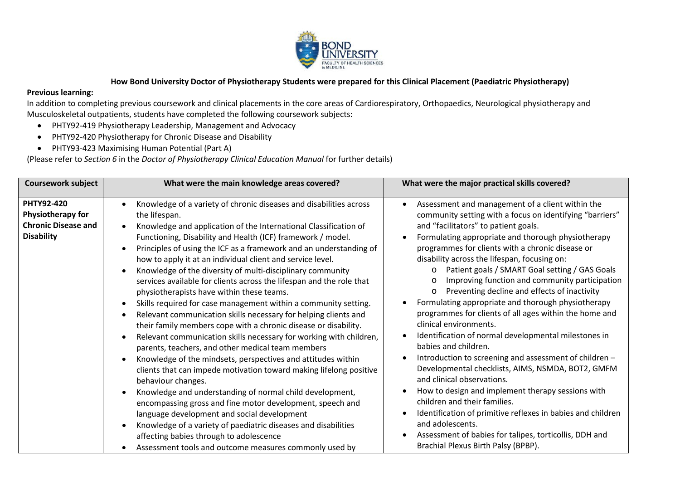

## **How Bond University Doctor of Physiotherapy Students were prepared for this Clinical Placement (Paediatric Physiotherapy)**

## **Previous learning:**

In addition to completing previous coursework and clinical placements in the core areas of Cardiorespiratory, Orthopaedics, Neurological physiotherapy and Musculoskeletal outpatients, students have completed the following coursework subjects:

- PHTY92-419 Physiotherapy Leadership, Management and Advocacy
- PHTY92-420 Physiotherapy for Chronic Disease and Disability
- PHTY93-423 Maximising Human Potential (Part A)

(Please refer to *Section 6* in the *Doctor of Physiotherapy Clinical Education Manual* for further details)

| <b>Coursework subject</b>                                                                 | What were the main knowledge areas covered?                                                                                                                                                                                                                                                                                                                                                                                                                                                                                                                                                                                                                                                                                                                                                                                                                                                                                                                                                                                                                                                                                                                                                                                                                                                                                                                                                  | What were the major practical skills covered?                                                                                                                                                                                                                                                                                                                                                                                                                                                                                                                                                                                                                                                                                                                                                                                                                                                                                                                                                                                                                                                                                                       |
|-------------------------------------------------------------------------------------------|----------------------------------------------------------------------------------------------------------------------------------------------------------------------------------------------------------------------------------------------------------------------------------------------------------------------------------------------------------------------------------------------------------------------------------------------------------------------------------------------------------------------------------------------------------------------------------------------------------------------------------------------------------------------------------------------------------------------------------------------------------------------------------------------------------------------------------------------------------------------------------------------------------------------------------------------------------------------------------------------------------------------------------------------------------------------------------------------------------------------------------------------------------------------------------------------------------------------------------------------------------------------------------------------------------------------------------------------------------------------------------------------|-----------------------------------------------------------------------------------------------------------------------------------------------------------------------------------------------------------------------------------------------------------------------------------------------------------------------------------------------------------------------------------------------------------------------------------------------------------------------------------------------------------------------------------------------------------------------------------------------------------------------------------------------------------------------------------------------------------------------------------------------------------------------------------------------------------------------------------------------------------------------------------------------------------------------------------------------------------------------------------------------------------------------------------------------------------------------------------------------------------------------------------------------------|
| <b>PHTY92-420</b><br>Physiotherapy for<br><b>Chronic Disease and</b><br><b>Disability</b> | Knowledge of a variety of chronic diseases and disabilities across<br>the lifespan.<br>Knowledge and application of the International Classification of<br>Functioning, Disability and Health (ICF) framework / model.<br>Principles of using the ICF as a framework and an understanding of<br>how to apply it at an individual client and service level.<br>Knowledge of the diversity of multi-disciplinary community<br>services available for clients across the lifespan and the role that<br>physiotherapists have within these teams.<br>Skills required for case management within a community setting.<br>Relevant communication skills necessary for helping clients and<br>their family members cope with a chronic disease or disability.<br>Relevant communication skills necessary for working with children,<br>parents, teachers, and other medical team members<br>Knowledge of the mindsets, perspectives and attitudes within<br>clients that can impede motivation toward making lifelong positive<br>behaviour changes.<br>Knowledge and understanding of normal child development,<br>encompassing gross and fine motor development, speech and<br>language development and social development<br>Knowledge of a variety of paediatric diseases and disabilities<br>affecting babies through to adolescence<br>Assessment tools and outcome measures commonly used by | Assessment and management of a client within the<br>community setting with a focus on identifying "barriers"<br>and "facilitators" to patient goals.<br>Formulating appropriate and thorough physiotherapy<br>programmes for clients with a chronic disease or<br>disability across the lifespan, focusing on:<br>Patient goals / SMART Goal setting / GAS Goals<br>$\circ$<br>Improving function and community participation<br>$\circ$<br>Preventing decline and effects of inactivity<br>$\circ$<br>Formulating appropriate and thorough physiotherapy<br>programmes for clients of all ages within the home and<br>clinical environments.<br>Identification of normal developmental milestones in<br>babies and children.<br>Introduction to screening and assessment of children -<br>Developmental checklists, AIMS, NSMDA, BOT2, GMFM<br>and clinical observations.<br>How to design and implement therapy sessions with<br>children and their families.<br>Identification of primitive reflexes in babies and children<br>and adolescents.<br>Assessment of babies for talipes, torticollis, DDH and<br>Brachial Plexus Birth Palsy (BPBP). |